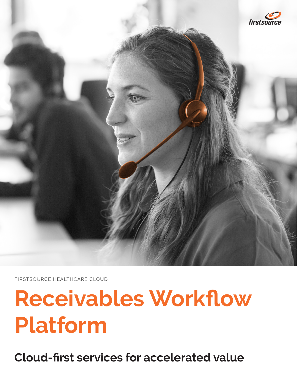

FIRSTSOURCE HEALTHCARE CLOUD

# **Receivables Workflow Platform**

**Cloud-first services for accelerated value**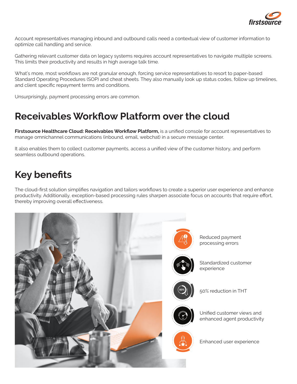

Account representatives managing inbound and outbound calls need a contextual view of customer information to optimize call handling and service.

Gathering relevant customer data on legacy systems requires account representatives to navigate multiple screens. This limits their productivity and results in high average talk time.

What's more, most workflows are not granular enough, forcing service representatives to resort to paper-based Standard Operating Procedures (SOP) and cheat sheets. They also manually look up status codes, follow up timelines, and client specific repayment terms and conditions.

Unsurprisingly, payment processing errors are common.

### **Receivables Workflow Platform over the cloud**

**Firstsource Healthcare Cloud: Receivables Workflow Platform,** is a unified console for account representatives to manage omnichannel communications (inbound, email, webchat) in a secure message center.

It also enables them to collect customer payments, access a unified view of the customer history, and perform seamless outbound operations.

## **Key benefits**

The cloud-first solution simplifies navigation and tailors workflows to create a superior user experience and enhance productivity. Additionally, exception-based processing rules sharpen associate focus on accounts that require effort, thereby improving overall effectiveness.

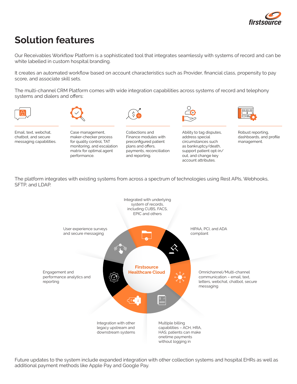

# **Solution features**

Our Receivables Workflow Platform is a sophisticated tool that integrates seamlessly with systems of record and can be white labelled in custom hospital branding.

It creates an automated workflow based on account characteristics such as Provider, financial class, propensity to pay score, and associate skill sets.

The multi-channel CRM Platform comes with wide integration capabilities across systems of record and telephony systems and dialers and offers:



Email, text, webchat, chatbot, and secure messaging capabilities.







Collections and Finance modules with preconfigured patient plans and offers, payments, reconciliation and reporting.



Ability to tag disputes, address special circumstances such as bankruptcy/death, support patient opt-in/ out, and change key account attributes.



Robust reporting, dashboards, and profile management.

The platform integrates with existing systems from across a spectrum of technologies using Rest APIs, Webhooks, SFTP, and LDAP.



Future updates to the system include expanded integration with other collection systems and hospital EHRs as well as additional payment methods like Apple Pay and Google Pay.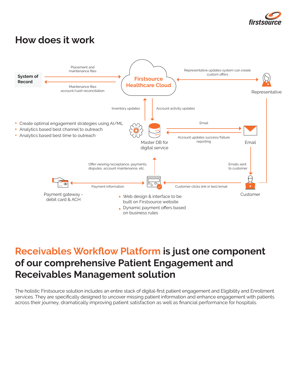

#### **How does it work**



## **Receivables Workflow Platform is just one component of our comprehensive Patient Engagement and Receivables Management solution**

The holistic Firstsource solution includes an entire stack of digital-first patient engagement and Eligibility and Enrollment services. They are specifically designed to uncover missing patient information and enhance engagement with patients across their journey, dramatically improving patient satisfaction as well as financial performance for hospitals.